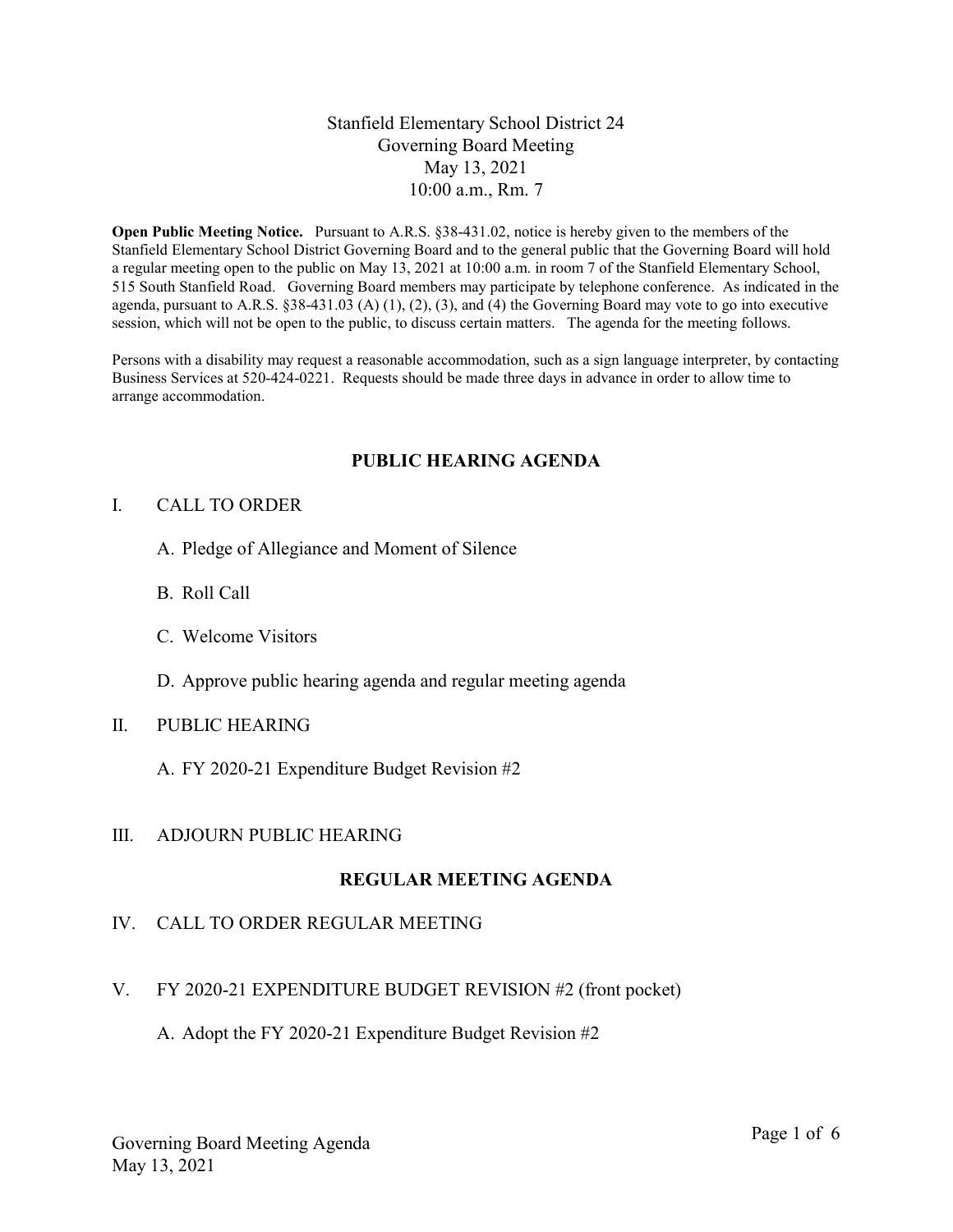# Stanfield Elementary School District 24 Governing Board Meeting May 13, 2021 10:00 a.m., Rm. 7

Open Public Meeting Notice. Pursuant to A.R.S. §38-431.02, notice is hereby given to the members of the Stanfield Elementary School District Governing Board and to the general public that the Governing Board will hold a regular meeting open to the public on May 13, 2021 at 10:00 a.m. in room 7 of the Stanfield Elementary School, 515 South Stanfield Road. Governing Board members may participate by telephone conference. As indicated in the agenda, pursuant to A.R.S.  $\S 38-431.03$  (A) (1), (2), (3), and (4) the Governing Board may vote to go into executive session, which will not be open to the public, to discuss certain matters. The agenda for the meeting follows.

Persons with a disability may request a reasonable accommodation, such as a sign language interpreter, by contacting Business Services at 520-424-0221. Requests should be made three days in advance in order to allow time to arrange accommodation.

# PUBLIC HEARING AGENDA

# I. CALL TO ORDER

- A. Pledge of Allegiance and Moment of Silence
- B. Roll Call
- C. Welcome Visitors
- D. Approve public hearing agenda and regular meeting agenda

#### II. PUBLIC HEARING

A. FY 2020-21 Expenditure Budget Revision #2

# III. ADJOURN PUBLIC HEARING

# REGULAR MEETING AGENDA

# IV. CALL TO ORDER REGULAR MEETING

- V. FY 2020-21 EXPENDITURE BUDGET REVISION #2 (front pocket)
	- A. Adopt the FY 2020-21 Expenditure Budget Revision #2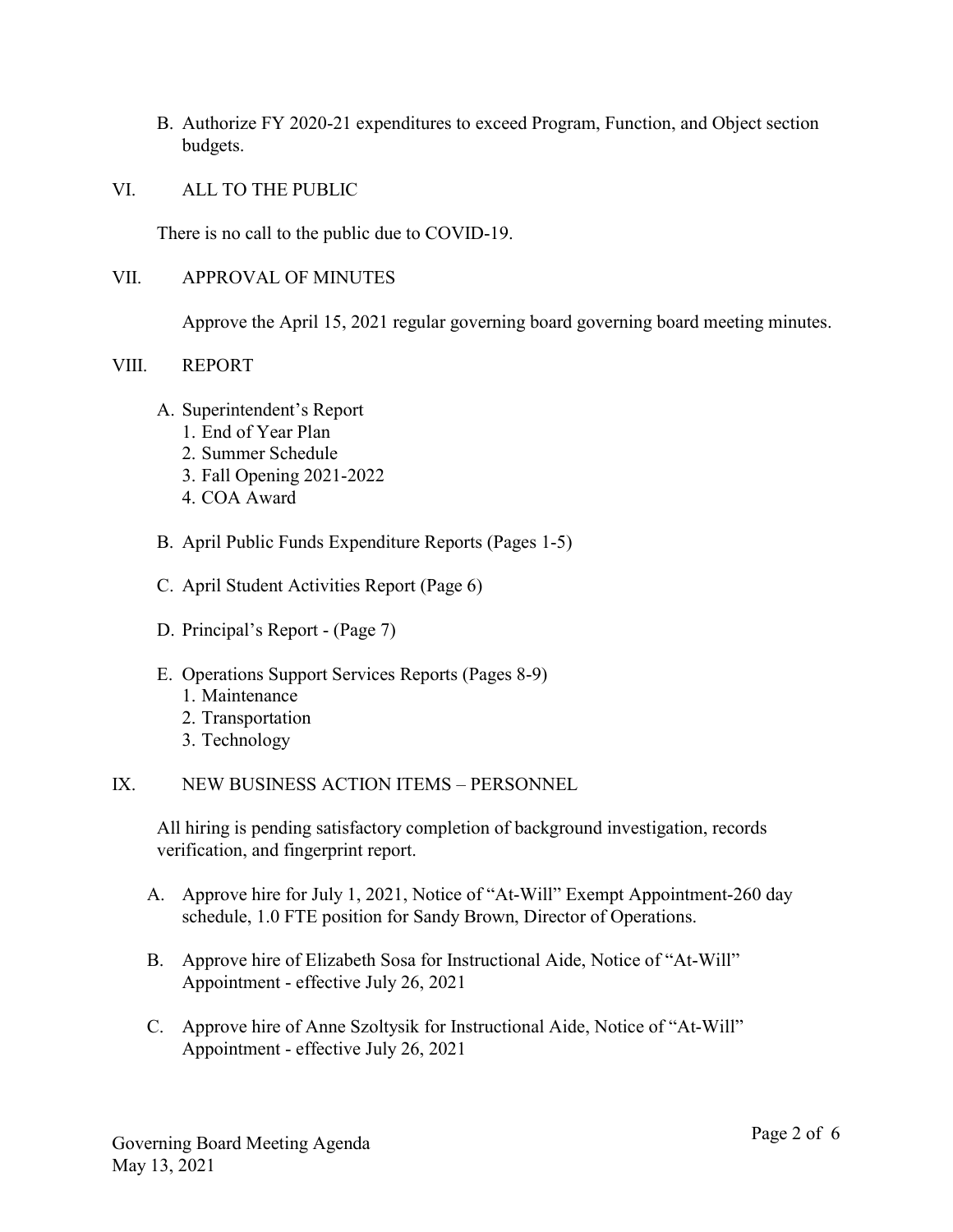- B. Authorize FY 2020-21 expenditures to exceed Program, Function, and Object section budgets.
- VI. ALL TO THE PUBLIC

There is no call to the public due to COVID-19.

VII. APPROVAL OF MINUTES

Approve the April 15, 2021 regular governing board governing board meeting minutes.

# VIII. REPORT

- A. Superintendent's Report
	- 1. End of Year Plan
	- 2. Summer Schedule
	- 3. Fall Opening 2021-2022
	- 4. COA Award
- B. April Public Funds Expenditure Reports (Pages 1-5)
- C. April Student Activities Report (Page 6)
- D. Principal's Report (Page 7)
- E. Operations Support Services Reports (Pages 8-9)
	- 1. Maintenance
	- 2. Transportation
	- 3. Technology

# IX. NEW BUSINESS ACTION ITEMS – PERSONNEL

All hiring is pending satisfactory completion of background investigation, records verification, and fingerprint report.

- A. Approve hire for July 1, 2021, Notice of "At-Will" Exempt Appointment-260 day schedule, 1.0 FTE position for Sandy Brown, Director of Operations.
- B. Approve hire of Elizabeth Sosa for Instructional Aide, Notice of "At-Will" Appointment - effective July 26, 2021
- C. Approve hire of Anne Szoltysik for Instructional Aide, Notice of "At-Will" Appointment - effective July 26, 2021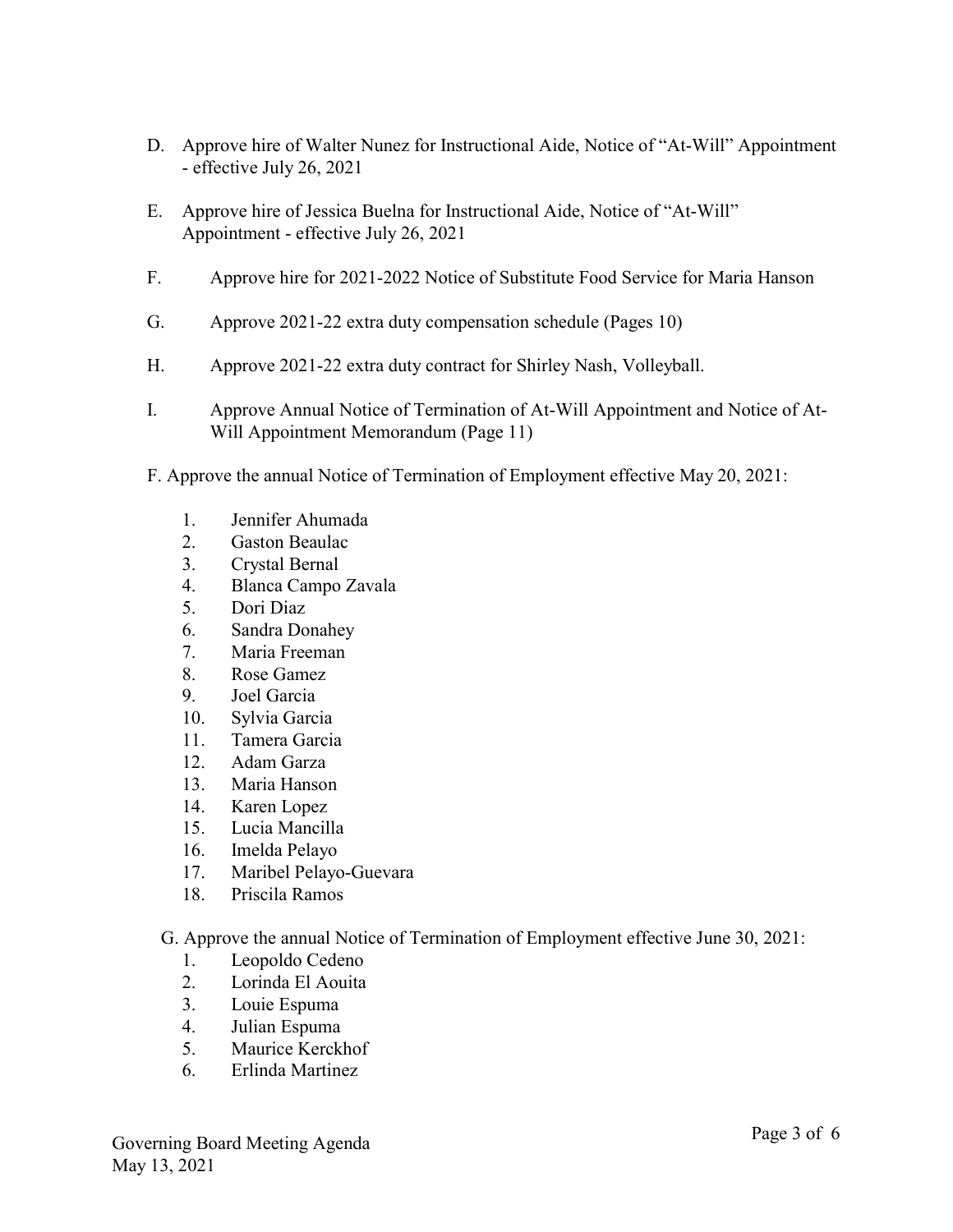- D. Approve hire of Walter Nunez for Instructional Aide, Notice of "At-Will" Appointment - effective July 26, 2021
- E. Approve hire of Jessica Buelna for Instructional Aide, Notice of "At-Will" Appointment - effective July 26, 2021
- F. Approve hire for 2021-2022 Notice of Substitute Food Service for Maria Hanson
- G. Approve 2021-22 extra duty compensation schedule (Pages 10)
- H. Approve 2021-22 extra duty contract for Shirley Nash, Volleyball.
- I. Approve Annual Notice of Termination of At-Will Appointment and Notice of At-Will Appointment Memorandum (Page 11)
- F. Approve the annual Notice of Termination of Employment effective May 20, 2021:
	- 1. Jennifer Ahumada
	- 2. Gaston Beaulac
	- 3. Crystal Bernal
	- 4. Blanca Campo Zavala
	- 5. Dori Diaz
	- 6. Sandra Donahey
	- 7. Maria Freeman
	- 8. Rose Gamez
	- 9. Joel Garcia
	- 10. Sylvia Garcia
	- 11. Tamera Garcia
	- 12. Adam Garza
	- 13. Maria Hanson
	- 14. Karen Lopez
	- 15. Lucia Mancilla
	- 16. Imelda Pelayo
	- 17. Maribel Pelayo-Guevara
	- 18. Priscila Ramos

G. Approve the annual Notice of Termination of Employment effective June 30, 2021:

- 1. Leopoldo Cedeno
- 2. Lorinda El Aouita
- 3. Louie Espuma
- 4. Julian Espuma
- 5. Maurice Kerckhof
- 6. Erlinda Martinez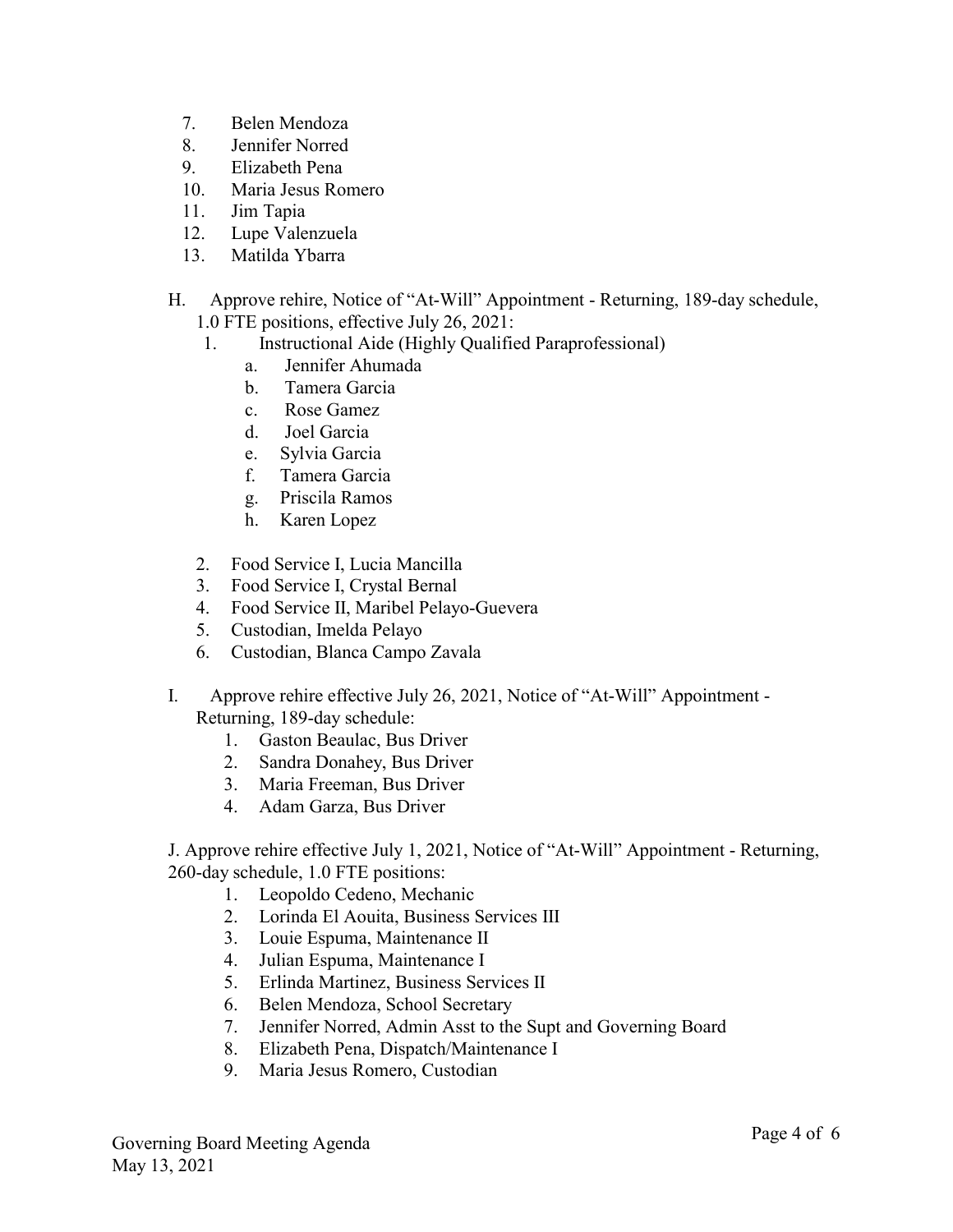- 7. Belen Mendoza
- 8. Jennifer Norred
- 9. Elizabeth Pena
- 10. Maria Jesus Romero
- 11. Jim Tapia
- 12. Lupe Valenzuela
- 13. Matilda Ybarra
- H. Approve rehire, Notice of "At-Will" Appointment Returning, 189-day schedule, 1.0 FTE positions, effective July 26, 2021:
	- 1. Instructional Aide (Highly Qualified Paraprofessional)
		- a. Jennifer Ahumada
		- b. Tamera Garcia
		- c. Rose Gamez
		- d. Joel Garcia
		- e. Sylvia Garcia
		- f. Tamera Garcia
		- g. Priscila Ramos
		- h. Karen Lopez
	- 2. Food Service I, Lucia Mancilla
	- 3. Food Service I, Crystal Bernal
	- 4. Food Service II, Maribel Pelayo-Guevera
	- 5. Custodian, Imelda Pelayo
	- 6. Custodian, Blanca Campo Zavala
- I. Approve rehire effective July 26, 2021, Notice of "At-Will" Appointment Returning, 189-day schedule:
	- 1. Gaston Beaulac, Bus Driver
	- 2. Sandra Donahey, Bus Driver
	- 3. Maria Freeman, Bus Driver
	- 4. Adam Garza, Bus Driver

J. Approve rehire effective July 1, 2021, Notice of "At-Will" Appointment - Returning, 260-day schedule, 1.0 FTE positions:

- 1. Leopoldo Cedeno, Mechanic
- 2. Lorinda El Aouita, Business Services III
- 3. Louie Espuma, Maintenance II
- 4. Julian Espuma, Maintenance I
- 5. Erlinda Martinez, Business Services II
- 6. Belen Mendoza, School Secretary
- 7. Jennifer Norred, Admin Asst to the Supt and Governing Board
- 8. Elizabeth Pena, Dispatch/Maintenance I
- 9. Maria Jesus Romero, Custodian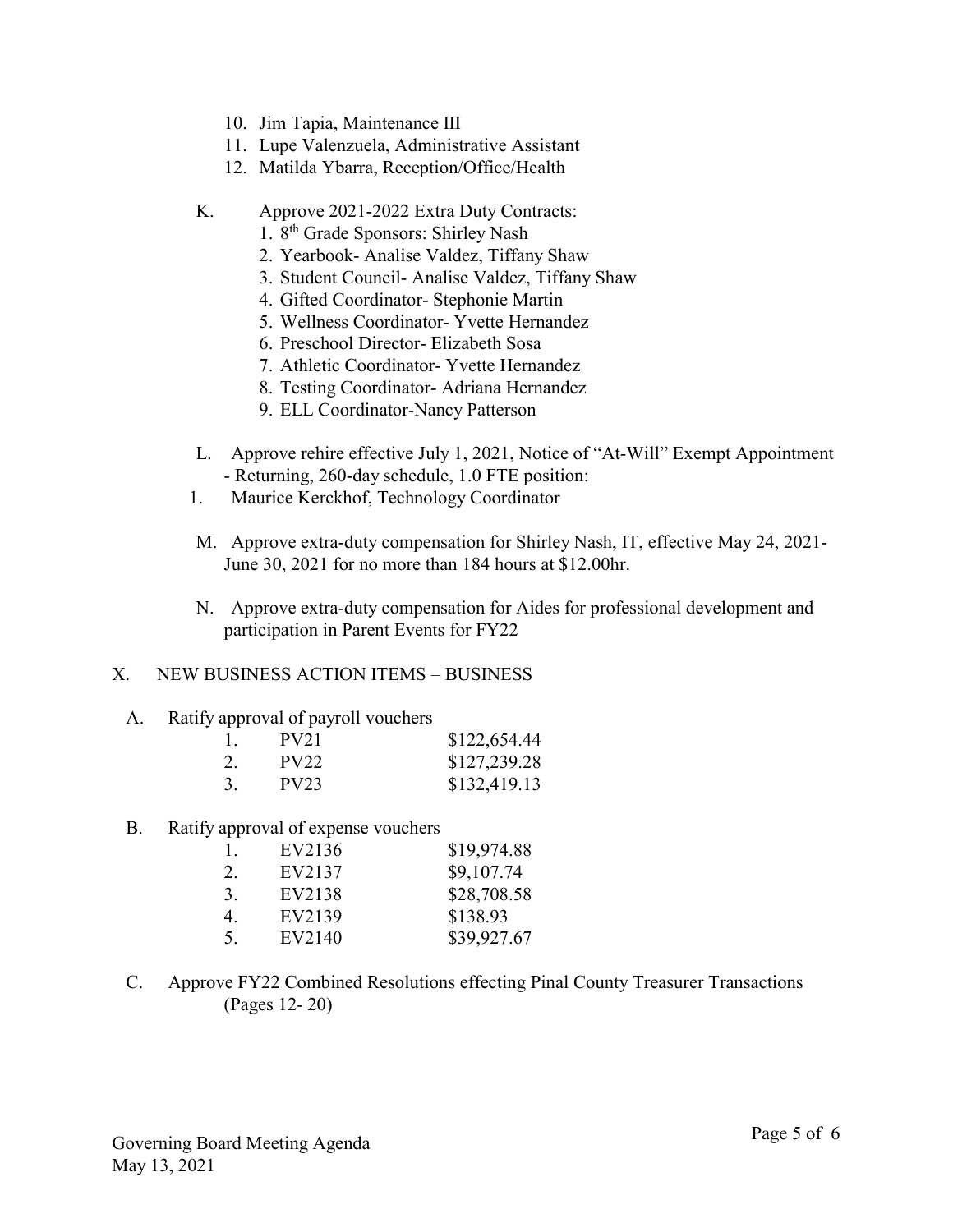- 10. Jim Tapia, Maintenance III
- 11. Lupe Valenzuela, Administrative Assistant
- 12. Matilda Ybarra, Reception/Office/Health
- K. Approve 2021-2022 Extra Duty Contracts:
	- 1. 8 th Grade Sponsors: Shirley Nash
	- 2. Yearbook- Analise Valdez, Tiffany Shaw
	- 3. Student Council- Analise Valdez, Tiffany Shaw
	- 4. Gifted Coordinator- Stephonie Martin
	- 5. Wellness Coordinator- Yvette Hernandez
	- 6. Preschool Director- Elizabeth Sosa
	- 7. Athletic Coordinator- Yvette Hernandez
	- 8. Testing Coordinator- Adriana Hernandez
	- 9. ELL Coordinator-Nancy Patterson
- L. Approve rehire effective July 1, 2021, Notice of "At-Will" Exempt Appointment - Returning, 260-day schedule, 1.0 FTE position:
- 1. Maurice Kerckhof, Technology Coordinator
- M. Approve extra-duty compensation for Shirley Nash, IT, effective May 24, 2021- June 30, 2021 for no more than 184 hours at \$12.00hr.
- N. Approve extra-duty compensation for Aides for professional development and participation in Parent Events for FY22

# X. NEW BUSINESS ACTION ITEMS – BUSINESS

A. Ratify approval of payroll vouchers

| 1. | PV <sub>21</sub> | \$122,654.44 |
|----|------------------|--------------|
| 2. | PV22             | \$127,239.28 |
| 3. | <b>PV23</b>      | \$132,419.13 |

B. Ratify approval of expense vouchers

| -1. | EV2136 | \$19,974.88 |
|-----|--------|-------------|
| 2.  | EV2137 | \$9,107.74  |
| 3.  | EV2138 | \$28,708.58 |
| 4.  | EV2139 | \$138.93    |
| .5. | EV2140 | \$39,927.67 |

C. Approve FY22 Combined Resolutions effecting Pinal County Treasurer Transactions (Pages 12- 20)